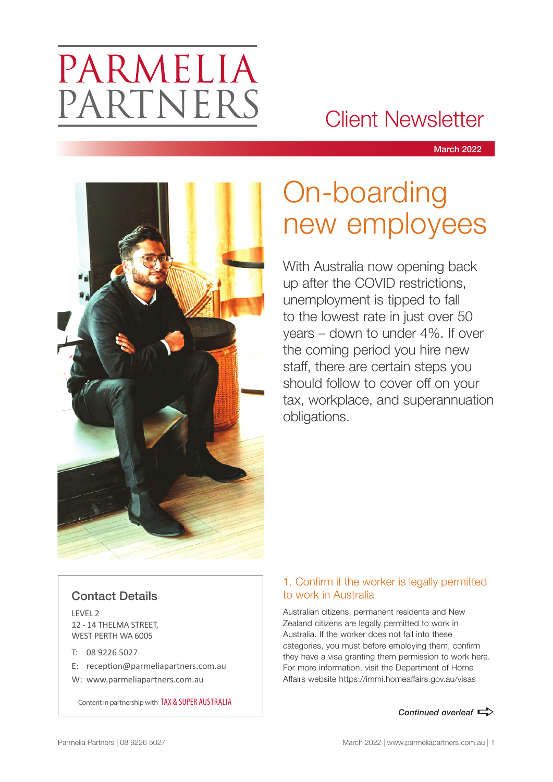# PARMELIA PARTNERS

### Client Newsletter

March 2022



## On-boarding new employees

With Australia now opening back up after the COVID restrictions, unemployment is tipped to fall to the lowest rate in just over 50 years – down to under 4%. If over the coming period you hire new staff, there are certain steps you should follow to cover off on your tax, workplace, and superannuation obligations.

#### Contact Details

LEVEL 2 12 - 14 THELMA STREET, WEST PERTH WA 6005

- T: 08 9226 5027
- E: reception@parmeliapartners.com.au
- W: www.parmeliapartners.com.au

Content in partnership with TAX & SUPER AUSTRALIA

#### 1. Confirm if the worker is legally permitted to work in Australia

Australian citizens, permanent residents and New Zealand citizens are legally permitted to work in Australia. If the worker does not fall into these categories, you must before employing them, confirm they have a visa granting them permission to work here. For more information, visit the Department of Home Affairs website https://immi.homeaffairs.gov.au/visas

**Continued overleaf**  $\Rightarrow$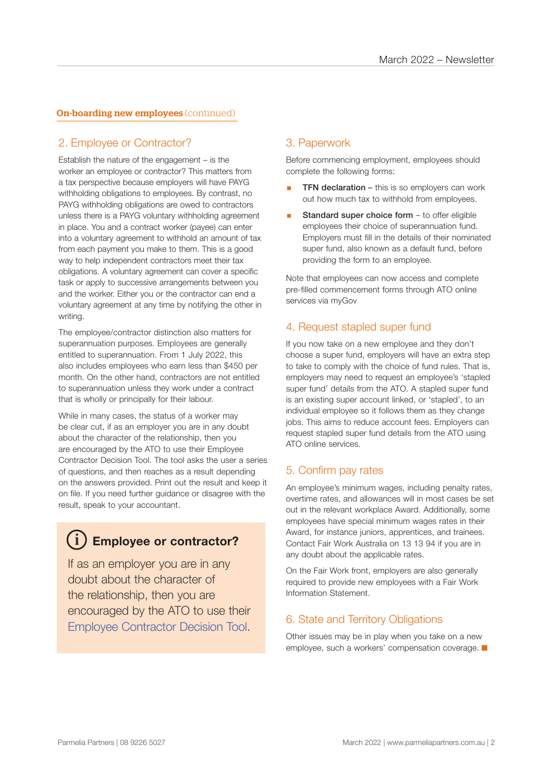#### **On-boarding new employees (continued)**

#### 2. Employee or Contractor?

Establish the nature of the engagement – is the worker an employee or contractor? This matters from a tax perspective because employers will have PAYG withholding obligations to employees. By contrast, no PAYG withholding obligations are owed to contractors unless there is a PAYG voluntary withholding agreement in place. You and a contract worker (payee) can enter into a voluntary agreement to withhold an amount of tax from each payment you make to them. This is a good way to help independent contractors meet their tax obligations. A voluntary agreement can cover a specific task or apply to successive arrangements between you and the worker. Either you or the contractor can end a voluntary agreement at any time by notifying the other in writing.

The employee/contractor distinction also matters for superannuation purposes. Employees are generally entitled to superannuation. From 1 July 2022, this also includes employees who earn less than \$450 per month. On the other hand, contractors are not entitled to superannuation unless they work under a contract that is wholly or principally for their labour.

While in many cases, the status of a worker may be clear cut, if as an employer you are in any doubt about the character of the relationship, then you are encouraged by the ATO to use their Employee Contractor Decision Tool. The tool asks the user a series of questions, and then reaches as a result depending on the answers provided. Print out the result and keep it on file. If you need further guidance or disagree with the result, speak to your accountant.

#### **Employee or contractor? i**

If as an employer you are in any doubt about the character of the relationship, then you are encouraged by the ATO to use their Employee Contractor Decision Tool.

#### 3. Paperwork

Before commencing employment, employees should complete the following forms:

- **TFN declaration** this is so employers can work out how much tax to withhold from employees.
- Standard super choice form to offer eligible employees their choice of superannuation fund. Employers must fill in the details of their nominated super fund, also known as a default fund, before providing the form to an employee.

Note that employees can now access and complete pre-filled commencement forms through ATO online services via myGov

#### 4. Request stapled super fund

If you now take on a new employee and they don't choose a super fund, employers will have an extra step to take to comply with the choice of fund rules. That is, employers may need to request an employee's 'stapled super fund' details from the ATO. A stapled super fund is an existing super account linked, or 'stapled', to an individual employee so it follows them as they change jobs. This aims to reduce account fees. Employers can request stapled super fund details from the ATO using ATO online services.

#### 5. Confirm pay rates

An employee's minimum wages, including penalty rates, overtime rates, and allowances will in most cases be set out in the relevant workplace Award. Additionally, some employees have special minimum wages rates in their Award, for instance juniors, apprentices, and trainees. Contact Fair Work Australia on 13 13 94 if you are in any doubt about the applicable rates.

On the Fair Work front, employers are also generally required to provide new employees with a Fair Work Information Statement.

#### 6. State and Territory Obligations

Other issues may be in play when you take on a new employee, such a workers' compensation coverage.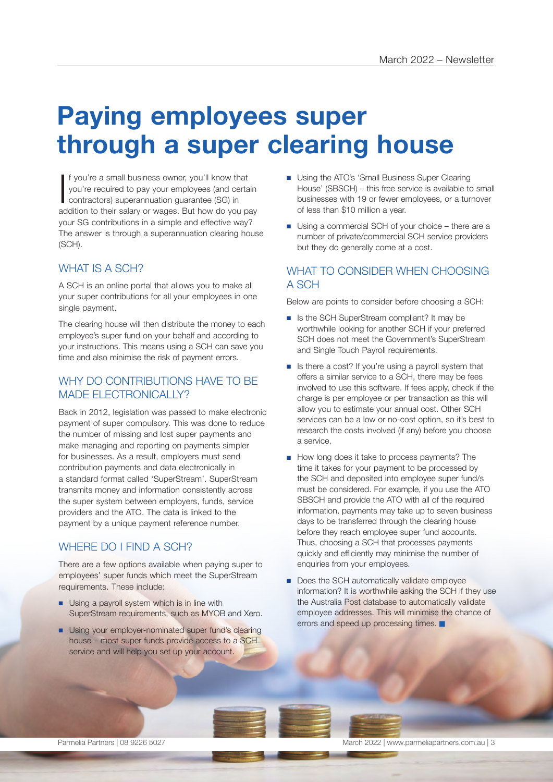### **Paying employees super through a super clearing house**

If you're a small business owner, you'll know that<br>you're required to pay your employees (and certain<br>contractors) superannuation guarantee (SG) in<br>addition to their salary or wages. But how do you pay f you're a small business owner, you'll know that you're required to pay your employees (and certain contractors) superannuation guarantee (SG) in your SG contributions in a simple and effective way? The answer is through a superannuation clearing house (SCH).

#### WHAT IS A SCH?

A SCH is an online portal that allows you to make all your super contributions for all your employees in one single payment.

The clearing house will then distribute the money to each employee's super fund on your behalf and according to your instructions. This means using a SCH can save you time and also minimise the risk of payment errors.

#### WHY DO CONTRIBUTIONS HAVE TO BE MADE ELECTRONICALLY?

Back in 2012, legislation was passed to make electronic payment of super compulsory. This was done to reduce the number of missing and lost super payments and make managing and reporting on payments simpler for businesses. As a result, employers must send contribution payments and data electronically in a standard format called 'SuperStream'. SuperStream transmits money and information consistently across the super system between employers, funds, service providers and the ATO. The data is linked to the payment by a unique payment reference number.

#### WHERE DO I FIND A SCH?

There are a few options available when paying super to employees' super funds which meet the SuperStream requirements. These include:

- Using a payroll system which is in line with SuperStream requirements, such as MYOB and Xero.
- Using your employer-nominated super fund's clearing house – most super funds provide access to a SCH service and will help you set up your account.
- Using the ATO's 'Small Business Super Clearing House' (SBSCH) – this free service is available to small businesses with 19 or fewer employees, or a turnover of less than \$10 million a year.
- Using a commercial SCH of your choice there are a number of private/commercial SCH service providers but they do generally come at a cost.

#### WHAT TO CONSIDER WHEN CHOOSING A SCH

Below are points to consider before choosing a SCH:

- Is the SCH SuperStream compliant? It may be worthwhile looking for another SCH if your preferred SCH does not meet the Government's SuperStream and Single Touch Payroll requirements.
- Is there a cost? If you're using a payroll system that offers a similar service to a SCH, there may be fees involved to use this software. If fees apply, check if the charge is per employee or per transaction as this will allow you to estimate your annual cost. Other SCH services can be a low or no-cost option, so it's best to research the costs involved (if any) before you choose a service.
- How long does it take to process payments? The time it takes for your payment to be processed by the SCH and deposited into employee super fund/s must be considered. For example, if you use the ATO SBSCH and provide the ATO with all of the required information, payments may take up to seven business days to be transferred through the clearing house before they reach employee super fund accounts. Thus, choosing a SCH that processes payments quickly and efficiently may minimise the number of enquiries from your employees.
- Does the SCH automatically validate employee information? It is worthwhile asking the SCH if they use the Australia Post database to automatically validate employee addresses. This will minimise the chance of errors and speed up processing times.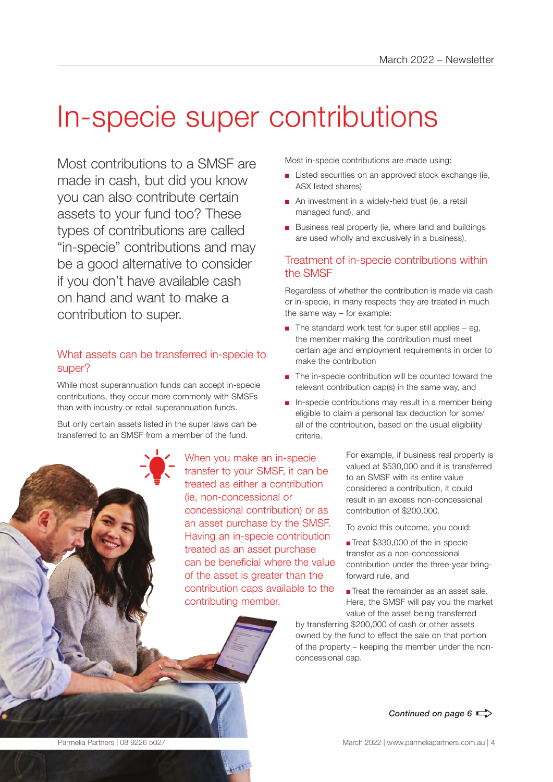## In-specie super contributions

Most contributions to a SMSF are made in cash, but did you know you can also contribute certain assets to your fund too? These types of contributions are called "in-specie" contributions and may be a good alternative to consider if you don't have available cash on hand and want to make a contribution to super.

#### What assets can be transferred in-specie to super?

While most superannuation funds can accept in-specie contributions, they occur more commonly with SMSFs than with industry or retail superannuation funds.

But only certain assets listed in the super laws can be transferred to an SMSF from a member of the fund.

> When you make an in-specie transfer to your SMSF, it can be treated as either a contribution (ie, non-concessional or concessional contribution) or as an asset purchase by the SMSF. Having an in-specie contribution treated as an asset purchase can be beneficial where the value of the asset is greater than the contribution caps available to the contributing member.

Most in-specie contributions are made using:

- Listed securities on an approved stock exchange (ie, ASX listed shares)
- An investment in a widely-held trust (ie, a retail managed fund), and
- Business real property (ie, where land and buildings are used wholly and exclusively in a business).

#### Treatment of in-specie contributions within the SMSF

Regardless of whether the contribution is made via cash or in-specie, in many respects they are treated in much the same way – for example:

- $\blacksquare$  The standard work test for super still applies eg, the member making the contribution must meet certain age and employment requirements in order to make the contribution
- The in-specie contribution will be counted toward the relevant contribution cap(s) in the same way, and
- In-specie contributions may result in a member being eligible to claim a personal tax deduction for some/ all of the contribution, based on the usual eligibility criteria.

For example, if business real property is valued at \$530,000 and it is transferred to an SMSF with its entire value considered a contribution, it could result in an excess non-concessional contribution of \$200,000.

To avoid this outcome, you could:

■ Treat \$330,000 of the in-specie transfer as a non-concessional contribution under the three-year bringforward rule, and

■ Treat the remainder as an asset sale. Here, the SMSF will pay you the market value of the asset being transferred

by transferring \$200,000 of cash or other assets owned by the fund to effect the sale on that portion of the property – keeping the member under the nonconcessional cap.



*Continued next page* a

Continued on page  $6 \Rightarrow$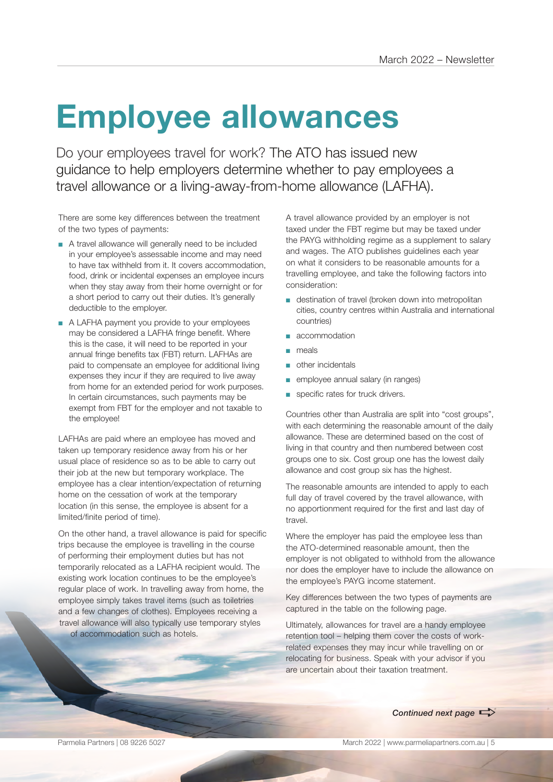## **Employee allowances**

Do your employees travel for work? The ATO has issued new guidance to help employers determine whether to pay employees a travel allowance or a living-away-from-home allowance (LAFHA).

There are some key differences between the treatment of the two types of payments:

- A travel allowance will generally need to be included in your employee's assessable income and may need to have tax withheld from it. It covers accommodation, food, drink or incidental expenses an employee incurs when they stay away from their home overnight or for a short period to carry out their duties. It's generally deductible to the employer.
- A LAFHA payment you provide to your employees may be considered a LAFHA fringe benefit. Where this is the case, it will need to be reported in your annual fringe benefits tax (FBT) return. LAFHAs are paid to compensate an employee for additional living expenses they incur if they are required to live away from home for an extended period for work purposes. In certain circumstances, such payments may be exempt from FBT for the employer and not taxable to the employee!

LAFHAs are paid where an employee has moved and taken up temporary residence away from his or her usual place of residence so as to be able to carry out their job at the new but temporary workplace. The employee has a clear intention/expectation of returning home on the cessation of work at the temporary location (in this sense, the employee is absent for a limited/finite period of time).

On the other hand, a travel allowance is paid for specific trips because the employee is travelling in the course of performing their employment duties but has not temporarily relocated as a LAFHA recipient would. The existing work location continues to be the employee's regular place of work. In travelling away from home, the employee simply takes travel items (such as toiletries and a few changes of clothes). Employees receiving a travel allowance will also typically use temporary styles of accommodation such as hotels.

A travel allowance provided by an employer is not taxed under the FBT regime but may be taxed under the PAYG withholding regime as a supplement to salary and wages. The ATO publishes guidelines each year on what it considers to be reasonable amounts for a travelling employee, and take the following factors into consideration:

- destination of travel (broken down into metropolitan cities, country centres within Australia and international countries)
- accommodation
- meals
- other incidentals
- employee annual salary (in ranges)
- specific rates for truck drivers.

Countries other than Australia are split into "cost groups", with each determining the reasonable amount of the daily allowance. These are determined based on the cost of living in that country and then numbered between cost groups one to six. Cost group one has the lowest daily allowance and cost group six has the highest.

The reasonable amounts are intended to apply to each full day of travel covered by the travel allowance, with no apportionment required for the first and last day of travel.

Where the employer has paid the employee less than the ATO-determined reasonable amount, then the employer is not obligated to withhold from the allowance nor does the employer have to include the allowance on the employee's PAYG income statement.

Key differences between the two types of payments are captured in the table on the following page.

Ultimately, allowances for travel are a handy employee retention tool – helping them cover the costs of workrelated expenses they may incur while travelling on or relocating for business. Speak with your advisor if you are uncertain about their taxation treatment.

**Continued next page**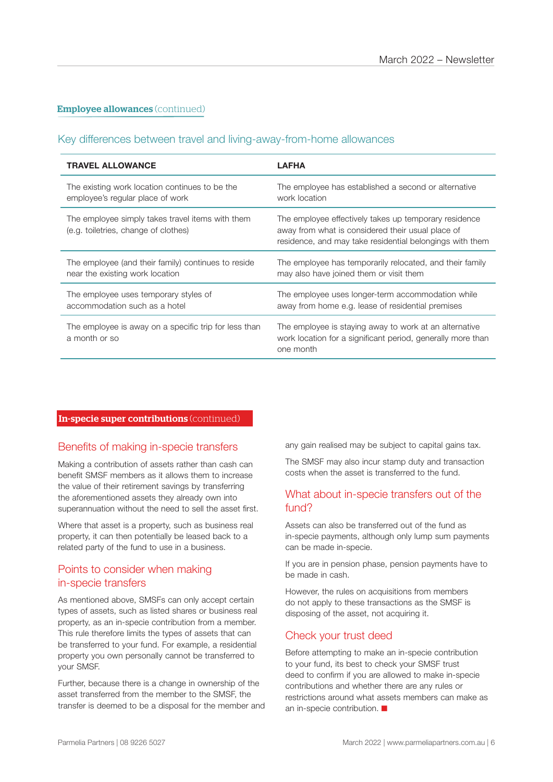#### **Employee allowances** (continued)

#### Key differences between travel and living-away-from-home allowances

| <b>TRAVEL ALLOWANCE</b>                                                                  | <b>LAFHA</b>                                                                                                                                                           |
|------------------------------------------------------------------------------------------|------------------------------------------------------------------------------------------------------------------------------------------------------------------------|
| The existing work location continues to be the                                           | The employee has established a second or alternative                                                                                                                   |
| employee's regular place of work                                                         | work location                                                                                                                                                          |
| The employee simply takes travel items with them<br>(e.g. toiletries, change of clothes) | The employee effectively takes up temporary residence<br>away from what is considered their usual place of<br>residence, and may take residential belongings with them |
| The employee (and their family) continues to reside                                      | The employee has temporarily relocated, and their family                                                                                                               |
| near the existing work location                                                          | may also have joined them or visit them                                                                                                                                |
| The employee uses temporary styles of                                                    | The employee uses longer-term accommodation while                                                                                                                      |
| accommodation such as a hotel                                                            | away from home e.g. lease of residential premises                                                                                                                      |
| The employee is away on a specific trip for less than<br>a month or so                   | The employee is staying away to work at an alternative<br>work location for a significant period, generally more than<br>one month                                     |

#### In-specie super contributions (continued)

#### Benefits of making in-specie transfers

Making a contribution of assets rather than cash can benefit SMSF members as it allows them to increase the value of their retirement savings by transferring the aforementioned assets they already own into superannuation without the need to sell the asset first.

Where that asset is a property, such as business real property, it can then potentially be leased back to a related party of the fund to use in a business.

#### Points to consider when making in-specie transfers

As mentioned above, SMSFs can only accept certain types of assets, such as listed shares or business real property, as an in-specie contribution from a member. This rule therefore limits the types of assets that can be transferred to your fund. For example, a residential property you own personally cannot be transferred to your SMSF.

Further, because there is a change in ownership of the asset transferred from the member to the SMSF, the transfer is deemed to be a disposal for the member and any gain realised may be subject to capital gains tax.

The SMSF may also incur stamp duty and transaction costs when the asset is transferred to the fund.

#### What about in-specie transfers out of the fund?

Assets can also be transferred out of the fund as in-specie payments, although only lump sum payments can be made in-specie.

If you are in pension phase, pension payments have to be made in cash.

However, the rules on acquisitions from members do not apply to these transactions as the SMSF is disposing of the asset, not acquiring it.

#### Check your trust deed

Before attempting to make an in-specie contribution to your fund, its best to check your SMSF trust deed to confirm if you are allowed to make in-specie contributions and whether there are any rules or restrictions around what assets members can make as an in-specie contribution.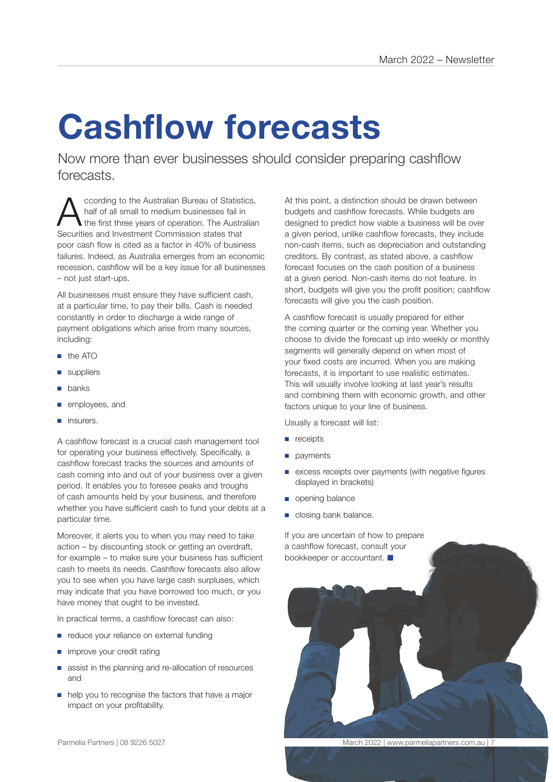# **Cashflow forecasts**

Now more than ever businesses should consider preparing cashflow forecasts.

According to the Australian Bureau of Statistics,<br>
the first three years of operation. The Australian<br>
Socurities and Investment Commission states that half of all small to medium businesses fail in Securities and Investment Commission states that poor cash flow is cited as a factor in 40% of business failures. Indeed, as Australia emerges from an economic recession, cashflow will be a key issue for all businesses – not just start-ups.

All businesses must ensure they have sufficient cash. at a particular time, to pay their bills. Cash is needed constantly in order to discharge a wide range of payment obligations which arise from many sources, including:

- the ATO
- suppliers
- banks
- employees, and
- insurers.

A cashflow forecast is a crucial cash management tool for operating your business effectively. Specifically, a cashflow forecast tracks the sources and amounts of cash coming into and out of your business over a given period. It enables you to foresee peaks and troughs of cash amounts held by your business, and therefore whether you have sufficient cash to fund your debts at a particular time.

Moreover, it alerts you to when you may need to take action – by discounting stock or getting an overdraft, for example – to make sure your business has sufficient cash to meets its needs. Cashflow forecasts also allow you to see when you have large cash surpluses, which may indicate that you have borrowed too much, or you have money that ought to be invested.

In practical terms, a cashflow forecast can also:

- reduce your reliance on external funding
- improve your credit rating
- assist in the planning and re-allocation of resources and
- help you to recognise the factors that have a major impact on your profitability.

At this point, a distinction should be drawn between budgets and cashflow forecasts. While budgets are designed to predict how viable a business will be over a given period, unlike cashflow forecasts, they include non-cash items, such as depreciation and outstanding creditors. By contrast, as stated above, a cashflow forecast focuses on the cash position of a business at a given period. Non-cash items do not feature. In short, budgets will give you the profit position; cashflow forecasts will give you the cash position.

A cashflow forecast is usually prepared for either the coming quarter or the coming year. Whether you choose to divide the forecast up into weekly or monthly segments will generally depend on when most of your fixed costs are incurred. When you are making forecasts, it is important to use realistic estimates. This will usually involve looking at last year's results and combining them with economic growth, and other factors unique to your line of business.

Usually a forecast will list:

- receipts
- payments
- excess receipts over payments (with negative figures displayed in brackets)
- opening balance
- closing bank balance.

If you are uncertain of how to prepare a cashflow forecast, consult your bookkeeper or accountant.



Parmelia Partners | 08 9226 5027 March 2022 | www.parmeliapartners.com.au | 7